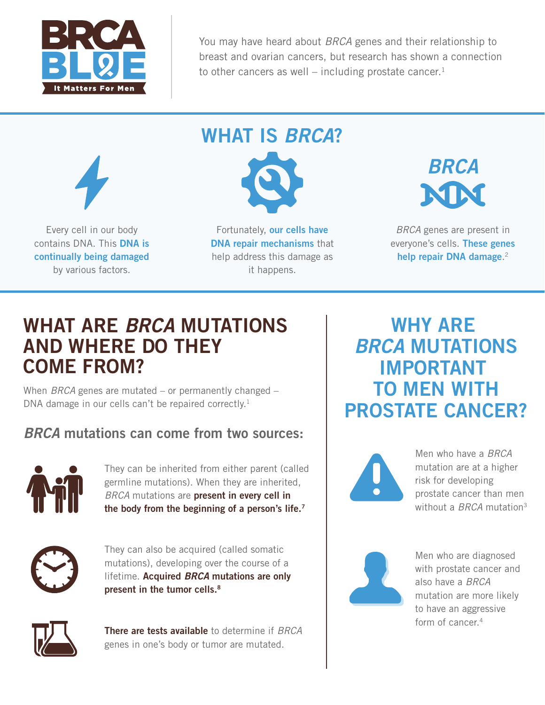

You may have heard about *BRCA* genes and their relationship to breast and ovarian cancers, but research has shown a connection to other cancers as well – including prostate cancer.<sup>1</sup>



Every cell in our body contains DNA. This **DNA is continually being damaged**  by various factors.



Fortunately, **our cells have DNA repair mechanisms** that help address this damage as it happens.



*BRCA* genes are present in everyone's cells. **These genes help repair DNA damage**. 2

### **WHAT ARE** *BRCA* **MUTATIONS AND WHERE DO THEY COME FROM?**

When *BRCA* genes are mutated – or permanently changed – DNA damage in our cells can't be repaired correctly.<sup>1</sup>

#### *BRCA* **mutations can come from two sources:**



They can be inherited from either parent (called germline mutations). When they are inherited, *BRCA* mutations are **present in every cell in the body from the beginning of a person's life.7**



They can also be acquired (called somatic mutations), developing over the course of a lifetime. **Acquired** *BRCA* **mutations are only present in the tumor cells.8**



**There are tests available** to determine if *BRCA*  genes in one's body or tumor are mutated.

**WHY ARE**  *BRCA* **MUTATIONS IMPORTANT TO MEN WITH PROSTATE CANCER?**



Men who have a *BRCA*  mutation are at a higher risk for developing prostate cancer than men without a *BRCA* mutation3



Men who are diagnosed with prostate cancer and also have a *BRCA* mutation are more likely to have an aggressive form of cancer.<sup>4</sup>